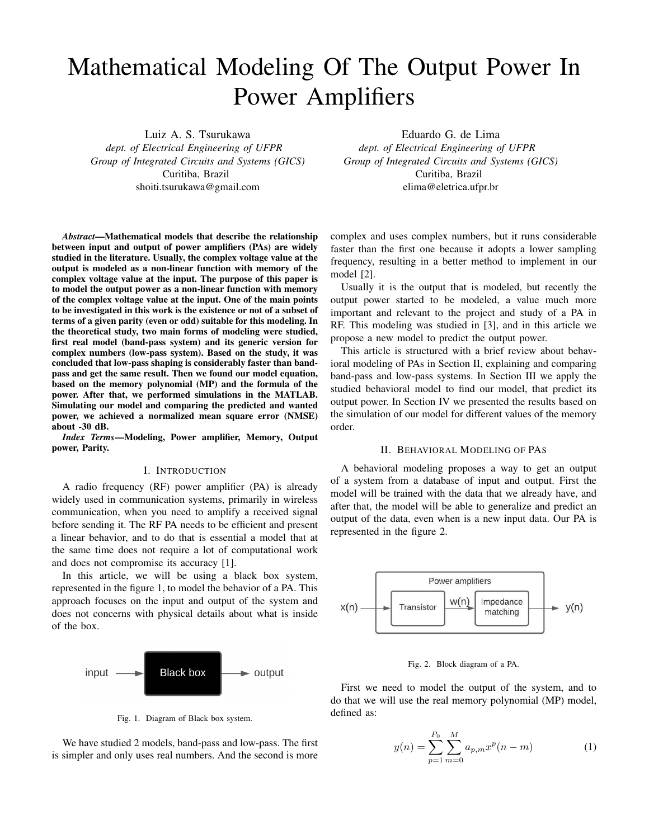# Mathematical Modeling Of The Output Power In Power Amplifiers

Luiz A. S. Tsurukawa

*dept. of Electrical Engineering of UFPR Group of Integrated Circuits and Systems (GICS)* Curitiba, Brazil shoiti.tsurukawa@gmail.com

*Abstract*—Mathematical models that describe the relationship between input and output of power amplifiers (PAs) are widely studied in the literature. Usually, the complex voltage value at the output is modeled as a non-linear function with memory of the complex voltage value at the input. The purpose of this paper is to model the output power as a non-linear function with memory of the complex voltage value at the input. One of the main points to be investigated in this work is the existence or not of a subset of terms of a given parity (even or odd) suitable for this modeling. In the theoretical study, two main forms of modeling were studied, first real model (band-pass system) and its generic version for complex numbers (low-pass system). Based on the study, it was concluded that low-pass shaping is considerably faster than bandpass and get the same result. Then we found our model equation, based on the memory polynomial (MP) and the formula of the power. After that, we performed simulations in the MATLAB. Simulating our model and comparing the predicted and wanted power, we achieved a normalized mean square error (NMSE) about -30 dB.

*Index Terms*—Modeling, Power amplifier, Memory, Output power, Parity.

## I. INTRODUCTION

A radio frequency (RF) power amplifier (PA) is already widely used in communication systems, primarily in wireless communication, when you need to amplify a received signal before sending it. The RF PA needs to be efficient and present a linear behavior, and to do that is essential a model that at the same time does not require a lot of computational work and does not compromise its accuracy [1].

In this article, we will be using a black box system, represented in the figure 1, to model the behavior of a PA. This approach focuses on the input and output of the system and does not concerns with physical details about what is inside of the box.



Fig. 1. Diagram of Black box system.

We have studied 2 models, band-pass and low-pass. The first is simpler and only uses real numbers. And the second is more

Eduardo G. de Lima *dept. of Electrical Engineering of UFPR Group of Integrated Circuits and Systems (GICS)* Curitiba, Brazil elima@eletrica.ufpr.br

complex and uses complex numbers, but it runs considerable faster than the first one because it adopts a lower sampling frequency, resulting in a better method to implement in our model [2].

Usually it is the output that is modeled, but recently the output power started to be modeled, a value much more important and relevant to the project and study of a PA in RF. This modeling was studied in [3], and in this article we propose a new model to predict the output power.

This article is structured with a brief review about behavioral modeling of PAs in Section II, explaining and comparing band-pass and low-pass systems. In Section III we apply the studied behavioral model to find our model, that predict its output power. In Section IV we presented the results based on the simulation of our model for different values of the memory order.

## II. BEHAVIORAL MODELING OF PAS

A behavioral modeling proposes a way to get an output of a system from a database of input and output. First the model will be trained with the data that we already have, and after that, the model will be able to generalize and predict an output of the data, even when is a new input data. Our PA is represented in the figure 2.



#### Fig. 2. Block diagram of a PA.

First we need to model the output of the system, and to do that we will use the real memory polynomial (MP) model, defined as:

$$
y(n) = \sum_{p=1}^{P_0} \sum_{m=0}^{M} a_{p,m} x^p(n-m)
$$
 (1)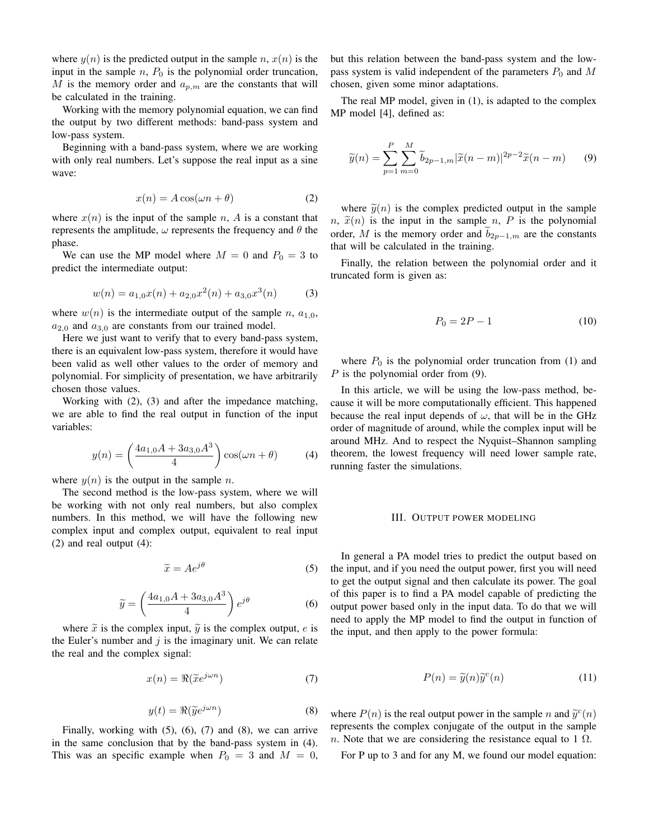where  $y(n)$  is the predicted output in the sample n,  $x(n)$  is the input in the sample  $n$ ,  $P_0$  is the polynomial order truncation, M is the memory order and  $a_{p,m}$  are the constants that will be calculated in the training.

Working with the memory polynomial equation, we can find the output by two different methods: band-pass system and low-pass system.

Beginning with a band-pass system, where we are working with only real numbers. Let's suppose the real input as a sine wave:

$$
x(n) = A\cos(\omega n + \theta)
$$
 (2)

where  $x(n)$  is the input of the sample n, A is a constant that represents the amplitude,  $\omega$  represents the frequency and  $\theta$  the phase.

We can use the MP model where  $M = 0$  and  $P_0 = 3$  to predict the intermediate output:

$$
w(n) = a_{1,0}x(n) + a_{2,0}x^{2}(n) + a_{3,0}x^{3}(n)
$$
 (3)

where  $w(n)$  is the intermediate output of the sample n,  $a_{1,0}$ ,  $a_{2,0}$  and  $a_{3,0}$  are constants from our trained model.

Here we just want to verify that to every band-pass system, there is an equivalent low-pass system, therefore it would have been valid as well other values to the order of memory and polynomial. For simplicity of presentation, we have arbitrarily chosen those values.

Working with (2), (3) and after the impedance matching, we are able to find the real output in function of the input variables:

$$
y(n) = \left(\frac{4a_{1,0}A + 3a_{3,0}A^3}{4}\right)\cos(\omega n + \theta) \tag{4}
$$

where  $y(n)$  is the output in the sample n.

The second method is the low-pass system, where we will be working with not only real numbers, but also complex numbers. In this method, we will have the following new complex input and complex output, equivalent to real input (2) and real output (4):

$$
\widetilde{x} = Ae^{j\theta} \tag{5}
$$

$$
\widetilde{y} = \left(\frac{4a_{1,0}A + 3a_{3,0}A^3}{4}\right)e^{j\theta} \tag{6}
$$

where  $\tilde{x}$  is the complex input,  $\tilde{y}$  is the complex output, e is the Euler's number and  $j$  is the imaginary unit. We can relate the real and the complex signal:

$$
x(n) = \Re(\tilde{x}e^{j\omega n})
$$
 (7)

$$
y(t) = \Re(\tilde{y}e^{j\omega n})
$$
 (8)

Finally, working with  $(5)$ ,  $(6)$ ,  $(7)$  and  $(8)$ , we can arrive in the same conclusion that by the band-pass system in (4). This was an specific example when  $P_0 = 3$  and  $M = 0$ , but this relation between the band-pass system and the lowpass system is valid independent of the parameters  $P_0$  and M chosen, given some minor adaptations.

The real MP model, given in (1), is adapted to the complex MP model [4], defined as:

$$
\widetilde{y}(n) = \sum_{p=1}^{P} \sum_{m=0}^{M} \widetilde{b}_{2p-1,m} |\widetilde{x}(n-m)|^{2p-2} \widetilde{x}(n-m)
$$
 (9)

where  $\tilde{y}(n)$  is the complex predicted output in the sample  $n, \tilde{x}(n)$  is the input in the sample n, P is the polynomial order, M is the memory order and  $\tilde{b}_{2p-1,m}$  are the constants that will be calculated in the training.

Finally, the relation between the polynomial order and it truncated form is given as:

$$
P_0 = 2P - 1\tag{10}
$$

where  $P_0$  is the polynomial order truncation from (1) and P is the polynomial order from (9).

In this article, we will be using the low-pass method, because it will be more computationally efficient. This happened because the real input depends of  $\omega$ , that will be in the GHz order of magnitude of around, while the complex input will be around MHz. And to respect the Nyquist–Shannon sampling theorem, the lowest frequency will need lower sample rate, running faster the simulations.

## III. OUTPUT POWER MODELING

In general a PA model tries to predict the output based on the input, and if you need the output power, first you will need to get the output signal and then calculate its power. The goal of this paper is to find a PA model capable of predicting the output power based only in the input data. To do that we will need to apply the MP model to find the output in function of the input, and then apply to the power formula:

$$
P(n) = \tilde{y}(n)\tilde{y}^c(n) \tag{11}
$$

where  $P(n)$  is the real output power in the sample n and  $\tilde{y}^c(n)$ <br>represents the complex conjugate of the output in the sample represents the complex conjugate of the output in the sample n. Note that we are considering the resistance equal to 1  $\Omega$ .

For P up to 3 and for any M, we found our model equation: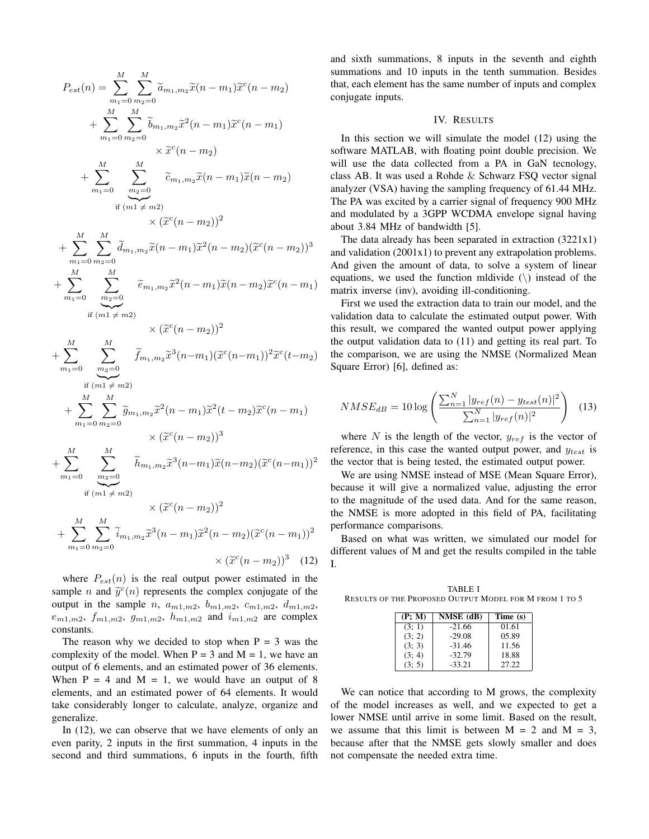$$
P_{est}(n) = \sum_{m_1=0}^{M} \sum_{m_2=0}^{M} \tilde{a}_{m_1,m_2} \tilde{x}(n-m_1) \tilde{x}^c(n-m_2)
$$
  
+ 
$$
\sum_{m_1=0}^{M} \sum_{m_2=0}^{M} \tilde{b}_{m_1,m_2} \tilde{x}^2(n-m_1) \tilde{x}^c(n-m_1)
$$
  
+ 
$$
\sum_{m_1=0}^{M} \sum_{m_2=0}^{M} \tilde{c}_{m_1,m_2} \tilde{x}(n-m_1) \tilde{x}(n-m_2)
$$
  
+ 
$$
\sum_{m_1=0}^{M} \sum_{m_2=0}^{M} \tilde{c}_{m_1,m_2} \tilde{x}(n-m_1) \tilde{x}(n-m_2)
$$
  
+ 
$$
\sum_{m_1=0}^{M} \sum_{m_2=0}^{M} \tilde{d}_{m_1,m_2} \tilde{x}(n-m_1) \tilde{x}^2(n-m_2) (\tilde{x}^c(n-m_2))^3
$$
  
+ 
$$
\sum_{m_1=0}^{M} \sum_{m_2=0}^{M} \tilde{e}_{m_1,m_2} \tilde{x}^2(n-m_1) \tilde{x}(n-m_2) \tilde{x}^c(n-m_1)
$$
  
if  $(m1 \neq m2)$   
+ 
$$
\sum_{m_1=0}^{M} \sum_{m_2=0}^{M} \tilde{f}_{m_1,m_2} \tilde{x}^3(n-m_1) (\tilde{x}^c(n-m_1))^2 \tilde{x}^c(t-m_2)
$$
  
+ 
$$
\sum_{m_1=0}^{M} \sum_{m_2=0}^{M} \tilde{f}_{m_1,m_2} \tilde{x}^2(n-m_1) \tilde{x}^2(t-m_2) \tilde{x}^c(n-m_1)
$$
  
+ 
$$
\sum_{m_1=0}^{M} \sum_{m_2=0}^{M} \tilde{b}_{m_1,m_2} \tilde{x}^3(n-m_1) \tilde{x}(n-m_2) (\tilde{x}^c(n-m_1))^2
$$
  
if  $(m1 \neq m2)$   

$$
\times (\tilde{x}^c(n-m_2))^2
$$
  

$$
M
$$

+ 
$$
\sum_{m_1=0}^{M} \sum_{m_2=0}^{M} \widetilde{i}_{m_1,m_2} \widetilde{x}^3(n-m_1) \widetilde{x}^2(n-m_2) (\widetilde{x}^c(n-m_1))^2
$$
  
×  $(\widetilde{x}^c(n-m_2))^3$  (12)

where  $P_{est}(n)$  is the real output power estimated in the sample <sup>n</sup> and <sup>y</sup><sup>e</sup> c (n) represents the complex conjugate of the output in the sample *n*,  $a_{m1,m2}$ ,  $b_{m1,m2}$ ,  $c_{m1,m2}$ ,  $d_{m1,m2}$ ,  $e_{m1,m2}$ ,  $f_{m1,m2}$ ,  $g_{m1,m2}$ ,  $h_{m1,m2}$  and  $i_{m1,m2}$  are complex constants.

The reason why we decided to stop when  $P = 3$  was the complexity of the model. When  $P = 3$  and  $M = 1$ , we have an output of 6 elements, and an estimated power of 36 elements. When  $P = 4$  and  $M = 1$ , we would have an output of 8 elements, and an estimated power of 64 elements. It would take considerably longer to calculate, analyze, organize and generalize.

In (12), we can observe that we have elements of only an even parity, 2 inputs in the first summation, 4 inputs in the second and third summations, 6 inputs in the fourth, fifth and sixth summations, 8 inputs in the seventh and eighth summations and 10 inputs in the tenth summation. Besides that, each element has the same number of inputs and complex conjugate inputs.

#### IV. RESULTS

In this section we will simulate the model (12) using the software MATLAB, with floating point double precision. We will use the data collected from a PA in GaN tecnology, class AB. It was used a Rohde & Schwarz FSQ vector signal analyzer (VSA) having the sampling frequency of 61.44 MHz. The PA was excited by a carrier signal of frequency 900 MHz and modulated by a 3GPP WCDMA envelope signal having about 3.84 MHz of bandwidth [5].

The data already has been separated in extraction (3221x1) and validation (2001x1) to prevent any extrapolation problems. And given the amount of data, to solve a system of linear equations, we used the function mldivide  $(\rangle)$  instead of the matrix inverse (inv), avoiding ill-conditioning.

First we used the extraction data to train our model, and the validation data to calculate the estimated output power. With this result, we compared the wanted output power applying the output validation data to (11) and getting its real part. To the comparison, we are using the NMSE (Normalized Mean Square Error) [6], defined as:

$$
NMSE_{dB} = 10 \log \left( \frac{\sum_{n=1}^{N} |y_{ref}(n) - y_{test}(n)|^2}{\sum_{n=1}^{N} |y_{ref}(n)|^2} \right) \tag{13}
$$

where N is the length of the vector,  $y_{ref}$  is the vector of reference, in this case the wanted output power, and  $y_{test}$  is the vector that is being tested, the estimated output power.

We are using NMSE instead of MSE (Mean Square Error), because it will give a normalized value, adjusting the error to the magnitude of the used data. And for the same reason, the NMSE is more adopted in this field of PA, facilitating performance comparisons.

Based on what was written, we simulated our model for different values of M and get the results compiled in the table I.

TABLE I RESULTS OF THE PROPOSED OUTPUT MODEL FOR M FROM 1 TO 5

| (P; M) | NMSE (dB) | Time (s) |
|--------|-----------|----------|
| (3; 1) | $-21.66$  | 01.61    |
| (3; 2) | $-29.08$  | 05.89    |
| (3; 3) | $-31.46$  | 11.56    |
| (3; 4) | $-32.79$  | 18.88    |
| (3; 5) | $-33.21$  | 27.22    |

We can notice that according to M grows, the complexity of the model increases as well, and we expected to get a lower NMSE until arrive in some limit. Based on the result, we assume that this limit is between  $M = 2$  and  $M = 3$ , because after that the NMSE gets slowly smaller and does not compensate the needed extra time.